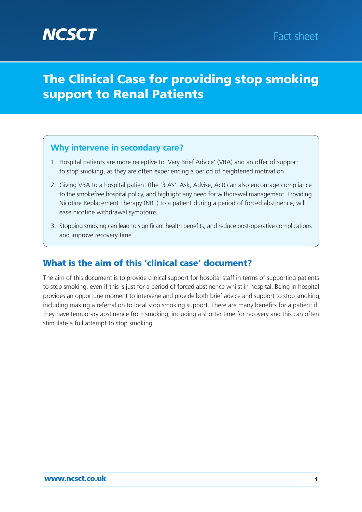# **The Clinical Case for providing stop smoking support to Renal Patients**

## **Why intervene in secondary care?**

- 1. Hospital patients are more receptive to 'Very Brief Advice' (VBA) and an offer of support to stop smoking, as they are often experiencing a period of heightened motivation
- 2. Giving VBA to a hospital patient (the '3 A's': Ask, Advise, Act) can also encourage compliance to the smokefree hospital policy, and highlight any need for withdrawal management. Providing Nicotine Replacement Therapy (NRT) to a patient during a period of forced abstinence, will ease nicotine withdrawal symptoms
- 3. Stopping smoking can lead to significant health benefits, and reduce post-operative complications and improve recovery time

## **What is the aim of this 'clinical case' document?**

The aim of this document is to provide clinical support for hospital staff in terms of supporting patients to stop smoking, even if this is just for a period of forced abstinence whilst in hospital. Being in hospital provides an opportune moment to intervene and provide both brief advice and support to stop smoking; including making a referral on to local stop smoking support. There are many benefits for a patient if they have temporary abstinence from smoking, including a shorter time for recovery and this can often stimulate a full attempt to stop smoking.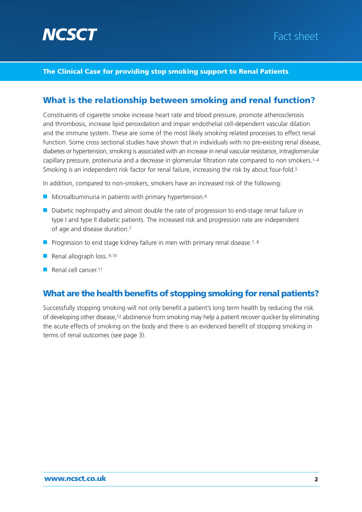

#### **The Clinical Case for providing stop smoking support to Renal Patients**

### **What is the relationship between smoking and renal function?**

Constituents of cigarette smoke increase heart rate and blood pressure, promote atherosclerosis and thrombosis, increase lipid peroxidation and impair endothelial cell-dependent vascular dilation and the immune system. These are some of the most likely smoking related processes to effect renal function. Some cross sectional studies have shown that in individuals with no pre-existing renal disease, diabetes or hypertension, smoking is associated with an increase in renal vascular resistance, intraglomerular capillary pressure, proteinuria and a decrease in glomerular filtration rate compared to non smokers.1–4 Smoking is an independent risk factor for renal failure, increasing the risk by about four-fold.<sup>5</sup>

In addition, compared to non-smokers, smokers have an increased risk of the following:

- Microalbuminuria in patients with primary hypertension.<sup>6</sup>
- Diabetic nephropathy and almost double the rate of progression to end-stage renal failure in type I and type II diabetic patients. The increased risk and progression rate are independent of age and disease duration.7
- Progression to end stage kidney failure in men with primary renal disease.<sup>7, 8</sup>
- Renal allograph loss. 9,10
- Renal cell cancer.<sup>11</sup>

### **What are the health benefits of stopping smoking for renal patients?**

Successfully stopping smoking will not only benefit a patient's long term health by reducing the risk of developing other disease,12 abstinence from smoking may help a patient recover quicker by eliminating the acute effects of smoking on the body and there is an evidenced benefit of stopping smoking in terms of renal outcomes (see page 3).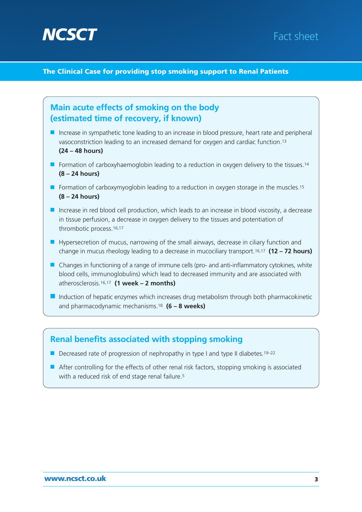

#### **The Clinical Case for providing stop smoking support to Renal Patients**



#### **Renal benefits associated with stopping smoking**

- Decreased rate of progression of nephropathy in type I and type II diabetes.<sup>19–22</sup>
- After controlling for the effects of other renal risk factors, stopping smoking is associated with a reduced risk of end stage renal failure.<sup>5</sup>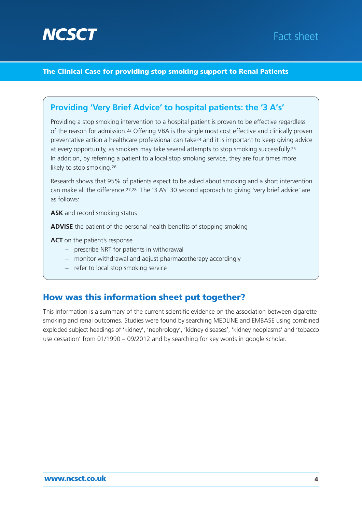

#### **The Clinical Case for providing stop smoking support to Renal Patients**

### **Providing 'Very Brief Advice' to hospital patients: the '3 A's'**

Providing a stop smoking intervention to a hospital patient is proven to be effective regardless of the reason for admission.23 Offering VBA is the single most cost effective and clinically proven preventative action a healthcare professional can take24 and it is important to keep giving advice at every opportunity, as smokers may take several attempts to stop smoking successfully.<sup>25</sup> In addition, by referring a patient to a local stop smoking service, they are four times more likely to stop smoking.26

Research shows that 95% of patients expect to be asked about smoking and a short intervention can make all the difference.27,28 The '3 A's' 30 second approach to giving 'very brief advice' are as follows:

**ASK** and record smoking status

**ADVISE** the patient of the personal health benefits of stopping smoking

**ACT** on the patient's response

- prescribe NRT for patients in withdrawal
- monitor withdrawal and adjust pharmacotherapy accordingly
- refer to local stop smoking service

#### **How was this information sheet put together?**

This information is a summary of the current scientific evidence on the association between cigarette smoking and renal outcomes. Studies were found by searching MEDLINE and EMBASE using combined exploded subject headings of 'kidney', 'nephrology', 'kidney diseases', 'kidney neoplasms' and 'tobacco use cessation' from 01/1990 – 09/2012 and by searching for key words in google scholar.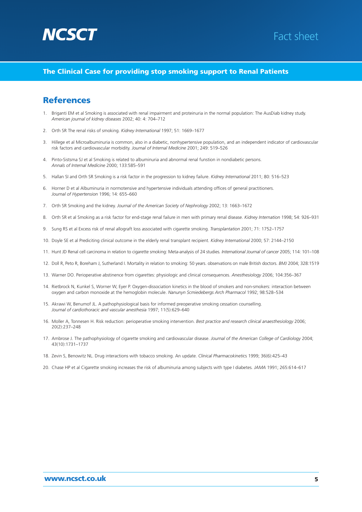

#### **The Clinical Case for providing stop smoking support to Renal Patients**

#### **References**

- 1. Briganti EM et al Smoking is associated with renal impairment and proteinuria in the normal population: The AusDiab kidney study. *American journal of kidney diseases* 2002; 40: 4: 704–712
- 2. Orth SR The renal risks of smoking. *Kidney International* 1997; 51: 1669–1677
- 3. Hillege et al Microalbuminuria is common, also in a diabetic, nonhypertensive population, and an independent indicator of cardiovascular risk factors and cardiovascular morbidity. *Journal of Internal Medicine* 2001; 249: 519–526
- 4. Pinto-Sistsma SJ et al Smoking is related to albuminuria and abnormal renal funstion in nondiabetic persons. *Annals of Internal Medicine* 2000; 133:585–591
- 5. Hallan SI and Orth SR Smoking is a risk factor in the progression to kidney failure. *Kidney International* 2011; 80: 516–523
- 6. Horner D et al Albuminuria in normotensive and hypertensive individuals attending offices of general practitioners. *Journal of Hypertension* 1996; 14: 655–660
- 7. Orth SR Smoking and the kidney. *Journal of the American Society of Nephrology* 2002; 13: 1663–1672
- 8. Orth SR et al Smoking as a risk factor for end-stage renal failure in men with primary renal disease. *Kidney Internation* 1998; 54: 926–931
- 9. Sung RS et al Excess risk of renal allograft loss associated with cigarette smoking. *Transplantation* 2001; 71: 1752–1757
- 10. Doyle SE et al Prediciting clinical outcome in the elderly renal transplant recipient. *Kidney International* 2000; 57: 2144–2150
- 11. Hunt JD Renal cell carcinoma in relation to cigarette smoking: Meta-analysis of 24 studies*. International Journal of cancer* 2005; 114: 101–108
- 12. Doll R, Peto R, Boreham J, Sutherland I. Mortality in relation to smoking: 50 years. observations on male British doctors. *BMJ* 2004; 328:1519
- 13. Warner DO. Perioperative abstinence from cigarettes: physiologic and clinical consequences. *Anesthesiology* 2006; 104:356–367
- 14. Rietbrock N, Kunkel S, Worner W, Eyer P. Oxygen-dissociation kinetics in the blood of smokers and non-smokers: interaction between oxygen and carbon monoxide at the hemoglobin molecule. *Nanunyn Scmiedebergs Arch Pharmacol* 1992; 98:528–534
- 15. Akrawi W, Benumof JL. A pathophysiological basis for informed preoperative smoking cessation counselling. *Journal of cardiothoracic and vascular anesthesia* 1997; 11(5):629–640
- 16. Moller A, Tonnesen H. Risk reduction: perioperative smoking intervention. *Best practice and research clinical anaesthesiology* 2006; 20(2):237–248
- 17. Ambrose J. The pathophysiology of cigarette smoking and cardiovascular disease. *Journal of the American College of Cardiology* 2004; 43(10):1731–1737
- 18. Zevin S, Benowitz NL. Drug interactions with tobacco smoking. An update. *Clinical Pharmacokinetic*s 1999; 36(6):425–43
- 20. Chase HP et al Cigarette smoking increases the risk of albuminuria among subjects with type I diabetes*. JAMA* 1991; 265:614–617